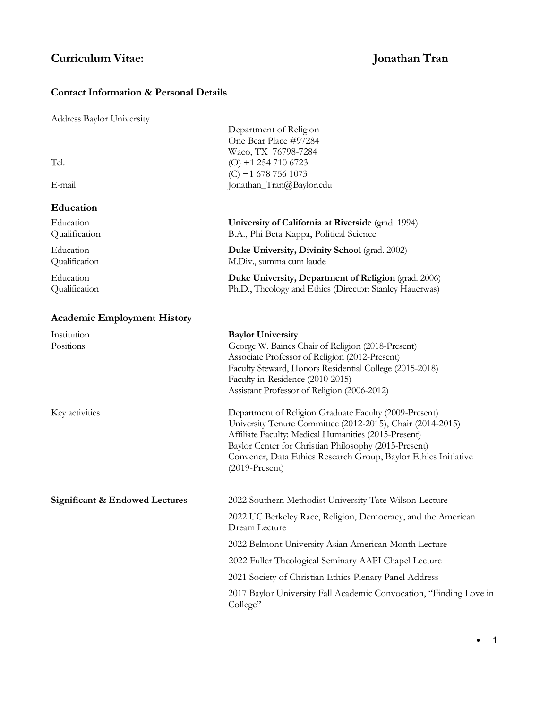# **Curriculum Vitae: Jonathan Tran**

# **Contact Information & Personal Details**

| <b>Address Baylor University</b>          |                                                                                                                                                                                                                                                                                                                             |
|-------------------------------------------|-----------------------------------------------------------------------------------------------------------------------------------------------------------------------------------------------------------------------------------------------------------------------------------------------------------------------------|
| Tel.<br>E-mail                            | Department of Religion<br>One Bear Place #97284<br>Waco, TX 76798-7284<br>$(O) + 12547106723$<br>$(C) + 16787561073$<br>Jonathan_Tran@Baylor.edu                                                                                                                                                                            |
| Education                                 |                                                                                                                                                                                                                                                                                                                             |
| Education<br>Qualification                | University of California at Riverside (grad. 1994)<br>B.A., Phi Beta Kappa, Political Science                                                                                                                                                                                                                               |
| Education<br>Qualification                | Duke University, Divinity School (grad. 2002)<br>M.Div., summa cum laude                                                                                                                                                                                                                                                    |
| Education<br>Qualification                | Duke University, Department of Religion (grad. 2006)<br>Ph.D., Theology and Ethics (Director: Stanley Hauerwas)                                                                                                                                                                                                             |
| <b>Academic Employment History</b>        |                                                                                                                                                                                                                                                                                                                             |
| Institution<br>Positions                  | <b>Baylor University</b><br>George W. Baines Chair of Religion (2018-Present)<br>Associate Professor of Religion (2012-Present)<br>Faculty Steward, Honors Residential College (2015-2018)<br>Faculty-in-Residence (2010-2015)<br>Assistant Professor of Religion (2006-2012)                                               |
| Key activities                            | Department of Religion Graduate Faculty (2009-Present)<br>University Tenure Committee (2012-2015), Chair (2014-2015)<br>Affiliate Faculty: Medical Humanities (2015-Present)<br>Baylor Center for Christian Philosophy (2015-Present)<br>Convener, Data Ethics Research Group, Baylor Ethics Initiative<br>$(2019-Present)$ |
| <b>Significant &amp; Endowed Lectures</b> | 2022 Southern Methodist University Tate-Wilson Lecture                                                                                                                                                                                                                                                                      |
|                                           | 2022 UC Berkeley Race, Religion, Democracy, and the American<br>Dream Lecture                                                                                                                                                                                                                                               |
|                                           | 2022 Belmont University Asian American Month Lecture                                                                                                                                                                                                                                                                        |
|                                           | 2022 Fuller Theological Seminary AAPI Chapel Lecture                                                                                                                                                                                                                                                                        |
|                                           | 2021 Society of Christian Ethics Plenary Panel Address                                                                                                                                                                                                                                                                      |
|                                           | 2017 Baylor University Fall Academic Convocation, "Finding Love in<br>College"                                                                                                                                                                                                                                              |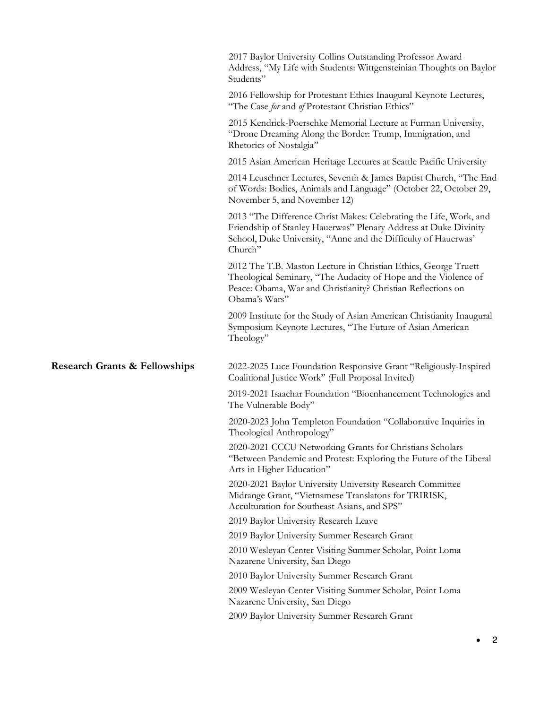|                                          | 2017 Baylor University Collins Outstanding Professor Award<br>Address, "My Life with Students: Wittgensteinian Thoughts on Baylor<br>Students"                                                                      |
|------------------------------------------|---------------------------------------------------------------------------------------------------------------------------------------------------------------------------------------------------------------------|
|                                          | 2016 Fellowship for Protestant Ethics Inaugural Keynote Lectures,<br>"The Case for and of Protestant Christian Ethics"                                                                                              |
|                                          | 2015 Kendrick-Poerschke Memorial Lecture at Furman University,<br>"Drone Dreaming Along the Border: Trump, Immigration, and<br>Rhetorics of Nostalgia"                                                              |
|                                          | 2015 Asian American Heritage Lectures at Seattle Pacific University                                                                                                                                                 |
|                                          | 2014 Leuschner Lectures, Seventh & James Baptist Church, "The End<br>of Words: Bodies, Animals and Language" (October 22, October 29,<br>November 5, and November 12)                                               |
|                                          | 2013 "The Difference Christ Makes: Celebrating the Life, Work, and<br>Friendship of Stanley Hauerwas" Plenary Address at Duke Divinity<br>School, Duke University, "Anne and the Difficulty of Hauerwas'<br>Church" |
|                                          | 2012 The T.B. Maston Lecture in Christian Ethics, George Truett<br>Theological Seminary, "The Audacity of Hope and the Violence of<br>Peace: Obama, War and Christianity? Christian Reflections on<br>Obama's Wars" |
|                                          | 2009 Institute for the Study of Asian American Christianity Inaugural<br>Symposium Keynote Lectures, "The Future of Asian American<br>Theology"                                                                     |
| <b>Research Grants &amp; Fellowships</b> | 2022-2025 Luce Foundation Responsive Grant "Religiously-Inspired<br>Coalitional Justice Work" (Full Proposal Invited)                                                                                               |
|                                          | 2019-2021 Isaachar Foundation "Bioenhancement Technologies and<br>The Vulnerable Body"                                                                                                                              |
|                                          | 2020-2023 John Templeton Foundation "Collaborative Inquiries in<br>Theological Anthropology"                                                                                                                        |
|                                          | 2020-2021 CCCU Networking Grants for Christians Scholars<br>"Between Pandemic and Protest: Exploring the Future of the Liberal<br>Arts in Higher Education"                                                         |
|                                          | 2020-2021 Baylor University University Research Committee<br>Midrange Grant, "Vietnamese Translatons for TRIRISK,<br>Acculturation for Southeast Asians, and SPS"                                                   |
|                                          | 2019 Baylor University Research Leave                                                                                                                                                                               |
|                                          | 2019 Baylor University Summer Research Grant                                                                                                                                                                        |
|                                          | 2010 Wesleyan Center Visiting Summer Scholar, Point Loma<br>Nazarene University, San Diego                                                                                                                          |
|                                          | 2010 Baylor University Summer Research Grant                                                                                                                                                                        |
|                                          | 2009 Wesleyan Center Visiting Summer Scholar, Point Loma                                                                                                                                                            |
|                                          | Nazarene University, San Diego                                                                                                                                                                                      |
|                                          | 2009 Baylor University Summer Research Grant                                                                                                                                                                        |

• 2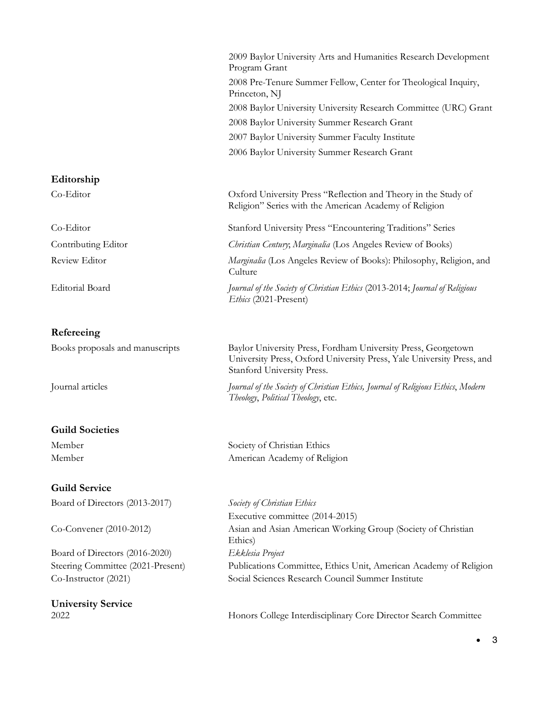|                        | 2009 Baylor University Arts and Humanities Research Development<br>Program Grant                                         |
|------------------------|--------------------------------------------------------------------------------------------------------------------------|
|                        | 2008 Pre-Tenure Summer Fellow, Center for Theological Inquiry,<br>Princeton, NJ                                          |
|                        | 2008 Baylor University University Research Committee (URC) Grant                                                         |
|                        | 2008 Baylor University Summer Research Grant                                                                             |
|                        | 2007 Baylor University Summer Faculty Institute                                                                          |
|                        | 2006 Baylor University Summer Research Grant                                                                             |
| Editorship             |                                                                                                                          |
| Co-Editor              | Oxford University Press "Reflection and Theory in the Study of<br>Religion" Series with the American Academy of Religion |
| Co-Editor              | <b>Stanford University Press "Encountering Traditions" Series</b>                                                        |
| Contributing Editor    | Christian Century; Marginalia (Los Angeles Review of Books)                                                              |
| Review Editor          | Marginalia (Los Angeles Review of Books): Philosophy, Religion, and<br>Culture                                           |
| <b>Editorial Board</b> | Journal of the Society of Christian Ethics (2013-2014; Journal of Religious<br>Ethics (2021-Present)                     |
| $Refereein \alpha$     |                                                                                                                          |

### **Refereeing**

# **Guild Societies**

# **Guild Service**

Board of Directors (2013-2017) *Society of Christian Ethics*

Board of Directors (2016-2020) *Ekklesia Project*

**University Service**

Books proposals and manuscripts Baylor University Press, Fordham University Press, Georgetown University Press, Oxford University Press, Yale University Press, and Stanford University Press.

Journal articles *Journal of the Society of Christian Ethics, Journal of Religious Ethics*, *Modern Theology*, *Political Theology*, etc.

Member Society of Christian Ethics Member American Academy of Religion

Executive committee (2014-2015) Co-Convener (2010-2012) Asian and Asian American Working Group (Society of Christian Ethics) Steering Committee (2021-Present) Publications Committee, Ethics Unit, American Academy of Religion Co-Instructor (2021) Social Sciences Research Council Summer Institute

2022 Honors College Interdisciplinary Core Director Search Committee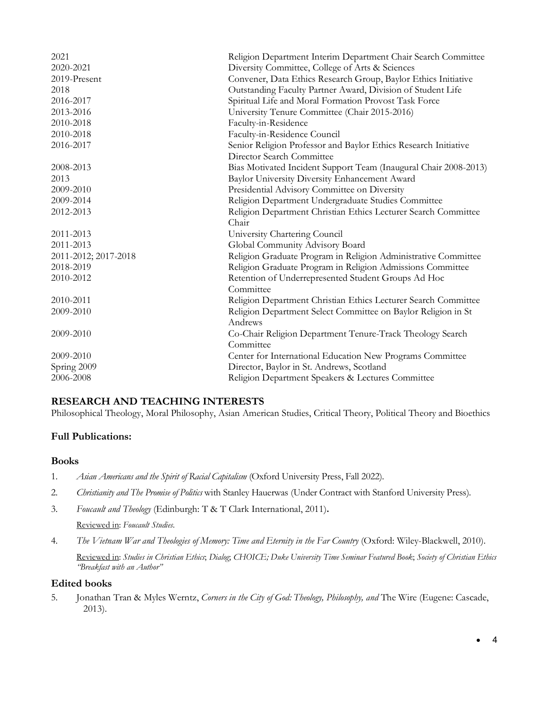| 2021                 | Religion Department Interim Department Chair Search Committee    |
|----------------------|------------------------------------------------------------------|
| 2020-2021            | Diversity Committee, College of Arts & Sciences                  |
| 2019-Present         | Convener, Data Ethics Research Group, Baylor Ethics Initiative   |
| 2018                 | Outstanding Faculty Partner Award, Division of Student Life      |
| 2016-2017            | Spiritual Life and Moral Formation Provost Task Force            |
| 2013-2016            | University Tenure Committee (Chair 2015-2016)                    |
| 2010-2018            | Faculty-in-Residence                                             |
| 2010-2018            | Faculty-in-Residence Council                                     |
| 2016-2017            | Senior Religion Professor and Baylor Ethics Research Initiative  |
|                      | Director Search Committee                                        |
| 2008-2013            | Bias Motivated Incident Support Team (Inaugural Chair 2008-2013) |
| 2013                 | Baylor University Diversity Enhancement Award                    |
| 2009-2010            | Presidential Advisory Committee on Diversity                     |
| 2009-2014            | Religion Department Undergraduate Studies Committee              |
| 2012-2013            | Religion Department Christian Ethics Lecturer Search Committee   |
|                      | Chair                                                            |
| 2011-2013            | University Chartering Council                                    |
| 2011-2013            | Global Community Advisory Board                                  |
| 2011-2012; 2017-2018 | Religion Graduate Program in Religion Administrative Committee   |
| 2018-2019            | Religion Graduate Program in Religion Admissions Committee       |
| 2010-2012            | Retention of Underrepresented Student Groups Ad Hoc              |
|                      | Committee                                                        |
| 2010-2011            | Religion Department Christian Ethics Lecturer Search Committee   |
| 2009-2010            | Religion Department Select Committee on Baylor Religion in St    |
|                      | Andrews                                                          |
| 2009-2010            | Co-Chair Religion Department Tenure-Track Theology Search        |
|                      | Committee                                                        |
| 2009-2010            | Center for International Education New Programs Committee        |
| Spring 2009          | Director, Baylor in St. Andrews, Scotland                        |
| 2006-2008            | Religion Department Speakers & Lectures Committee                |

# **RESEARCH AND TEACHING INTERESTS**

Philosophical Theology, Moral Philosophy, Asian American Studies, Critical Theory, Political Theory and Bioethics

### **Full Publications:**

### **Books**

- 1. *Asian Americans and the Spirit of Racial Capitalism* (Oxford University Press, Fall 2022).
- 2. *Christianity and The Promise of Politics* with Stanley Hauerwas (Under Contract with Stanford University Press).
- 3. *Foucault and Theology* (Edinburgh: T & T Clark International, 2011)**.**

Reviewed in: *Foucault Studies*.

4. *The Vietnam War and Theologies of Memory: Time and Eternity in the Far Country* (Oxford: Wiley-Blackwell, 2010).

Reviewed in: *Studies in Christian Ethics*; *Dialog*; *CHOICE; Duke University Time Seminar Featured Book*; *Society of Christian Ethics "Breakfast with an Author"*

### **Edited books**

5. Jonathan Tran & Myles Werntz, *Corners in the City of God: Theology, Philosophy, and* The Wire (Eugene: Cascade, 2013).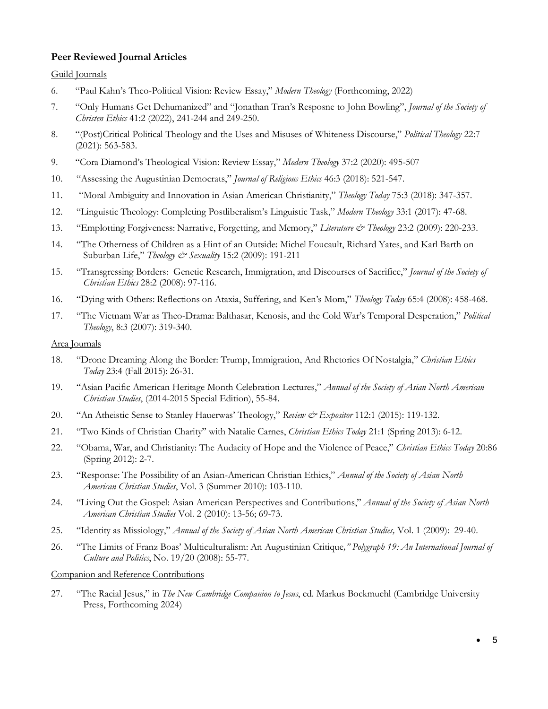# **Peer Reviewed Journal Articles**

# Guild Journals

- 6. "Paul Kahn's Theo-Political Vision: Review Essay," *Modern Theology* (Forthcoming, 2022)
- 7. "Only Humans Get Dehumanized" and "Jonathan Tran's Resposne to John Bowling", *Journal of the Society of Christen Ethics* 41:2 (2022), 241-244 and 249-250.
- 8. "(Post)Critical Political Theology and the Uses and Misuses of Whiteness Discourse," *Political Theology* 22:7 (2021): 563-583.
- 9. "Cora Diamond's Theological Vision: Review Essay," *Modern Theology* 37:2 (2020): 495-507
- 10. "Assessing the Augustinian Democrats," *Journal of Religious Ethics* 46:3 (2018): 521-547.
- 11. "Moral Ambiguity and Innovation in Asian American Christianity," *Theology Today* 75:3 (2018): 347-357.
- 12. "Linguistic Theology: Completing Postliberalism's Linguistic Task," *Modern Theology* 33:1 (2017): 47-68.
- 13. "Emplotting Forgiveness: Narrative, Forgetting, and Memory," *Literature & Theology* 23:2 (2009): 220-233.
- 14. "The Otherness of Children as a Hint of an Outside: Michel Foucault, Richard Yates, and Karl Barth on Suburban Life," *Theology & Sexuality* 15:2 (2009): 191-211
- 15. "Transgressing Borders: Genetic Research, Immigration, and Discourses of Sacrifice," *Journal of the Society of Christian Ethics* 28:2 (2008): 97-116.
- 16. "Dying with Others: Reflections on Ataxia, Suffering, and Ken's Mom," *Theology Today* 65:4 (2008): 458-468.
- 17. "The Vietnam War as Theo-Drama: Balthasar, Kenosis, and the Cold War's Temporal Desperation," *Political Theology*, 8:3 (2007): 319-340.

#### Area Journals

- 18. "Drone Dreaming Along the Border: Trump, Immigration, And Rhetorics Of Nostalgia," *Christian Ethics Today* 23:4 (Fall 2015): 26-31.
- 19. "Asian Pacific American Heritage Month Celebration Lectures," *Annual of the Society of Asian North American Christian Studies*, (2014-2015 Special Edition), 55-84.
- 20. "An Atheistic Sense to Stanley Hauerwas' Theology," *Review & Expositor* 112:1 (2015): 119-132.
- 21. "Two Kinds of Christian Charity" with Natalie Carnes, *Christian Ethics Today* 21:1 (Spring 2013): 6-12.
- 22. "Obama, War, and Christianity: The Audacity of Hope and the Violence of Peace," *Christian Ethics Today* 20:86 (Spring 2012): 2-7.
- 23. "Response: The Possibility of an Asian-American Christian Ethics," *Annual of the Society of Asian North American Christian Studies*, Vol. 3 (Summer 2010): 103-110.
- 24. "Living Out the Gospel: Asian American Perspectives and Contributions," *Annual of the Society of Asian North American Christian Studies* Vol. 2 (2010): 13-56; 69-73.
- 25. "Identity as Missiology," *Annual of the Society of Asian North American Christian Studies,* Vol. 1 (2009): 29-40.
- 26. "The Limits of Franz Boas' Multiculturalism: An Augustinian Critique*," Polygraph 19: An International Journal of Culture and Politics*, No. 19/20 (2008): 55-77.

Companion and Reference Contributions

27. "The Racial Jesus," in *The New Cambridge Companion to Jesus*, ed. Markus Bockmuehl (Cambridge University Press, Forthcoming 2024)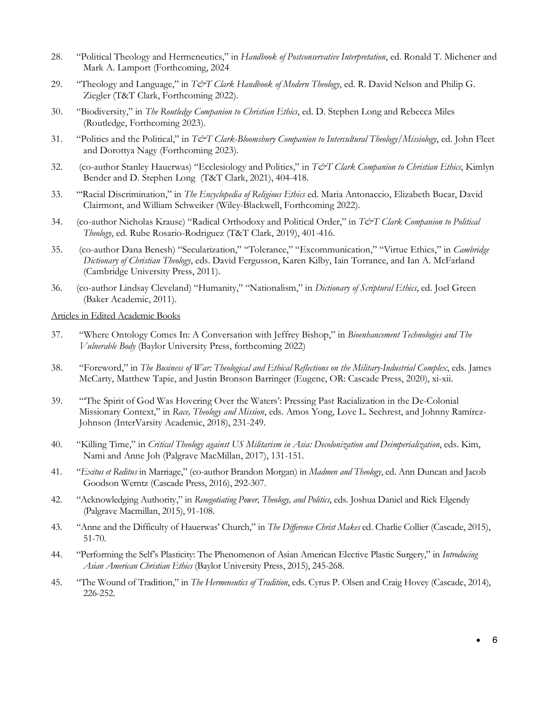- 28. "Political Theology and Hermeneutics," in *Handbook of Postconservative Interpretation*, ed. Ronald T. Michener and Mark A. Lamport (Forthcoming, 2024
- 29. "Theology and Language," in *T&T Clark Handbook of Modern Theology*, ed. R. David Nelson and Philip G. Ziegler (T&T Clark, Forthcoming 2022).
- 30. "Biodiversity," in *The Routledge Companion to Christian Ethics*, ed. D. Stephen Long and Rebecca Miles (Routledge, Forthcoming 2023).
- 31. "Politics and the Political," in *T&T Clark-Bloomsbury Companion to Intercultural Theology/Missiology*, ed. John Fleet and Dorottya Nagy (Forthcoming 2023).
- 32. (co-author Stanley Hauerwas) "Ecclesiology and Politics," in *T&T Clark Companion to Christian Ethics*, Kimlyn Bender and D. Stephen Long (T&T Clark, 2021), 404-418.
- 33. "'Racial Discrimination," in *The Encyclopedia of Religious Ethics* ed. Maria Antonaccio, Elizabeth Bucar, David Clairmont, and William Schweiker (Wiley-Blackwell, Forthcoming 2022).
- 34. (co-author Nicholas Krause) "Radical Orthodoxy and Political Order," in *T&T Clark Companion to Political Theology*, ed. Rube Rosario-Rodriguez (T&T Clark, 2019), 401-416.
- 35. (co-author Dana Benesh) "Secularization," "Tolerance," "Excommunication," "Virtue Ethics," in *Cambridge Dictionary of Christian Theology*, eds. David Fergusson, Karen Kilby, Iain Torrance, and Ian A. McFarland (Cambridge University Press, 2011).
- 36. (co-author Lindsay Cleveland) "Humanity," "Nationalism," in *Dictionary of Scriptural Ethics*, ed. Joel Green (Baker Academic, 2011).

#### Articles in Edited Academic Books

- 37. "Where Ontology Comes In: A Conversation with Jeffrey Bishop," in *Bioenhancement Technologies and The Vulnerable Body* (Baylor University Press, forthcoming 2022)
- 38. "Foreword," in *The Business of War: Theological and Ethical Reflections on the Military-Industrial Complex*, eds. James McCarty, Matthew Tapie, and Justin Bronson Barringer (Eugene, OR: Cascade Press, 2020), xi-xii.
- 39. "'The Spirit of God Was Hovering Over the Waters': Pressing Past Racialization in the De-Colonial Missionary Context," in *Race, Theology and Mission*, eds. Amos Yong, Love L. Sechrest, and Johnny Ramírez-Johnson (InterVarsity Academic, 2018), 231-249.
- 40. "Killing Time," in *Critical Theology against US Militarism in Asia: Decolonization and Deimperialization*, eds. Kim, Nami and Anne Joh (Palgrave MacMillan, 2017), 131-151.
- 41. "*Exitus et Reditus* in Marriage," (co-author Brandon Morgan) in *Madmen and Theology*, ed. Ann Duncan and Jacob Goodson Werntz (Cascade Press, 2016), 292-307.
- 42. "Acknowledging Authority," in *Renegotiating Power, Theology, and Politics*, eds. Joshua Daniel and Rick Elgendy (Palgrave Macmillan, 2015), 91-108.
- 43. "Anne and the Difficulty of Hauerwas' Church," in *The Difference Christ Makes* ed. Charlie Collier (Cascade, 2015), 51-70.
- 44. "Performing the Self's Plasticity: The Phenomenon of Asian American Elective Plastic Surgery," in *Introducing Asian American Christian Ethics* (Baylor University Press, 2015), 245-268.
- 45. "The Wound of Tradition," in *The Hermeneutics of Tradition*, eds. Cyrus P. Olsen and Craig Hovey (Cascade, 2014), 226-252.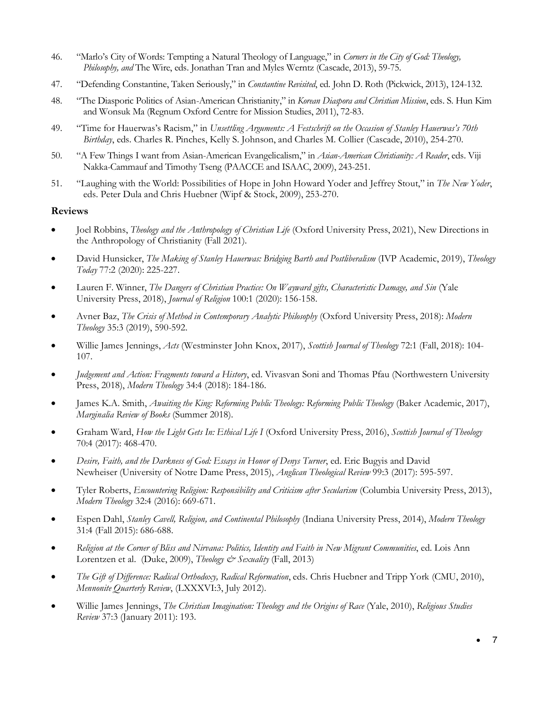- 46. "Marlo's City of Words: Tempting a Natural Theology of Language," in *Corners in the City of God: Theology, Philosophy, and* The Wire, eds. Jonathan Tran and Myles Werntz (Cascade, 2013), 59-75.
- 47. "Defending Constantine, Taken Seriously," in *Constantine Revisited*, ed. John D. Roth (Pickwick, 2013), 124-132.
- 48. "The Diasporic Politics of Asian-American Christianity," in *Korean Diaspora and Christian Mission*, eds. S. Hun Kim and Wonsuk Ma (Regnum Oxford Centre for Mission Studies, 2011), 72-83.
- 49. "Time for Hauerwas's Racism," in *Unsettling Arguments: A Festschrift on the Occasion of Stanley Hauerwas's 70th Birthday*, eds. Charles R. Pinches, Kelly S. Johnson, and Charles M. Collier (Cascade, 2010), 254-270.
- 50. "A Few Things I want from Asian-American Evangelicalism," in *Asian-American Christianity: A Reader*, eds. Viji Nakka-Cammauf and Timothy Tseng (PAACCE and ISAAC, 2009), 243-251.
- 51. "Laughing with the World: Possibilities of Hope in John Howard Yoder and Jeffrey Stout," in *The New Yoder*, eds. Peter Dula and Chris Huebner (Wipf & Stock, 2009), 253-270.

# **Reviews**

- Joel Robbins, *Theology and the Anthropology of Christian Life* (Oxford University Press, 2021), New Directions in the Anthropology of Christianity (Fall 2021).
- David Hunsicker, *The Making of Stanley Hauerwas: Bridging Barth and Postliberalism* (IVP Academic, 2019), *Theology Today* 77:2 (2020): 225-227.
- Lauren F. Winner, *The Dangers of Christian Practice: On Wayward gifts, Characteristic Damage, and Sin* (Yale University Press, 2018), *Journal of Religion* 100:1 (2020): 156-158.
- Avner Baz, *The Crisis of Method in Contemporary Analytic Philosophy* (Oxford University Press, 2018): *Modern Theology* 35:3 (2019), 590-592.
- Willie James Jennings, *Acts* (Westminster John Knox, 2017), *Scottish Journal of Theology* 72:1 (Fall, 2018): 104- 107.
- *Judgement and Action: Fragments toward a History*, ed. Vivasvan Soni and Thomas Pfau (Northwestern University Press, 2018), *Modern Theology* 34:4 (2018): 184-186.
- James K.A. Smith, *Awaiting the King: Reforming Public Theology: Reforming Public Theology (Baker Academic, 2017)*, *Marginalia Review of Books* (Summer 2018).
- Graham Ward, *How the Light Gets In: Ethical Life I* (Oxford University Press, 2016), *Scottish Journal of Theology* 70:4 (2017): 468-470.
- *Desire, Faith, and the Darkness of God: Essays in Honor of Denys Turner*, ed. Eric Bugyis and David Newheiser (University of Notre Dame Press, 2015), *Anglican Theological Review* 99:3 (2017): 595-597.
- Tyler Roberts, *Encountering Religion: Responsibility and Criticism after Secularism* (Columbia University Press, 2013), *Modern Theology* 32:4 (2016): 669-671.
- Espen Dahl, *Stanley Cavell, Religion, and Continental Philosophy* (Indiana University Press, 2014), *Modern Theology* 31:4 (Fall 2015): 686-688.
- *Religion at the Corner of Bliss and Nirvana: Politics, Identity and Faith in New Migrant Communities*, ed. Lois Ann Lorentzen et al. (Duke, 2009), *Theology & Sexuality* (Fall, 2013)
- *The Gift of Difference: Radical Orthodoxy, Radical Reformation*, eds. Chris Huebner and Tripp York (CMU, 2010), *Mennonite Quarterly Review*, (LXXXVI:3, July 2012).
- Willie James Jennings, *The Christian Imagination: Theology and the Origins of Race* (Yale, 2010), *Religious Studies Review* 37:3 (January 2011): 193.

• 7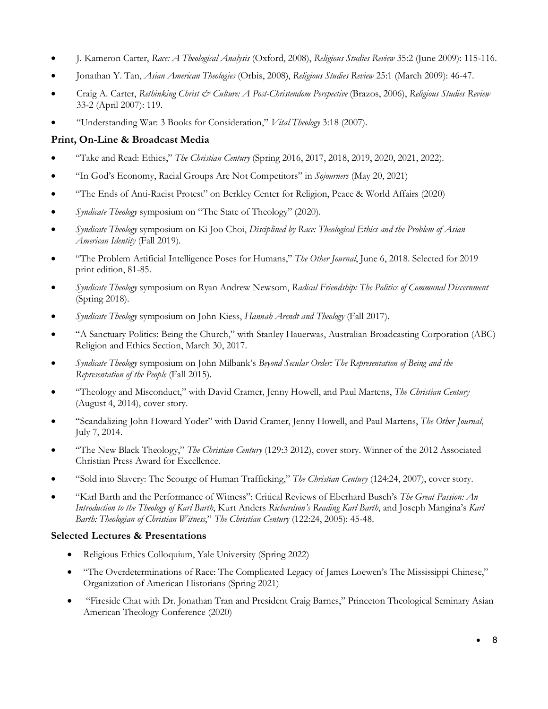- J. Kameron Carter, *Race: A Theological Analysis* (Oxford, 2008), *Religious Studies Review* 35:2 (June 2009): 115-116.
- Jonathan Y. Tan, *Asian American Theologies* (Orbis, 2008), *Religious Studies Review* 25:1 (March 2009): 46-47.
- Craig A. Carter, *Rethinking Christ & Culture: A Post-Christendom Perspective* (Brazos, 2006), *Religious Studies Review* 33-2 (April 2007): 119.
- "Understanding War: 3 Books for Consideration," *Vital Theology* 3:18 (2007).

# **Print, On-Line & Broadcast Media**

- "Take and Read: Ethics," *The Christian Century* (Spring 2016, 2017, 2018, 2019, 2020, 2021, 2022).
- "In God's Economy, Racial Groups Are Not Competitors" in *Sojourners* (May 20, 2021)
- "The Ends of Anti-Racist Protest" on Berkley Center for Religion, Peace & World Affairs (2020)
- *Syndicate Theology* symposium on "The State of Theology" (2020).
- *Syndicate Theology* symposium on Ki Joo Choi, *Disciplined by Race: Theological Ethics and the Problem of Asian American Identity* (Fall 2019).
- "The Problem Artificial Intelligence Poses for Humans," *The Other Journal*, June 6, 2018. Selected for 2019 print edition, 81-85.
- *Syndicate Theology* symposium on Ryan Andrew Newsom, *Radical Friendship: The Politics of Communal Discernment*  (Spring 2018).
- *Syndicate Theology* symposium on John Kiess, *Hannah Arendt and Theology* (Fall 2017).
- "A Sanctuary Politics: Being the Church," with Stanley Hauerwas, Australian Broadcasting Corporation (ABC) Religion and Ethics Section, March 30, 2017.
- *Syndicate Theology* symposium on John Milbank's *Beyond Secular Order: The Representation of Being and the Representation of the People* (Fall 2015).
- "Theology and Misconduct," with David Cramer, Jenny Howell, and Paul Martens, *The Christian Century* (August 4, 2014), cover story.
- "Scandalizing John Howard Yoder" with David Cramer, Jenny Howell, and Paul Martens, *The Other Journal*, July 7, 2014.
- "The New Black Theology," *The Christian Century* (129:3 2012), cover story. Winner of the 2012 Associated Christian Press Award for Excellence.
- "Sold into Slavery: The Scourge of Human Trafficking," *The Christian Century* (124:24, 2007), cover story.
- "Karl Barth and the Performance of Witness": Critical Reviews of Eberhard Busch's *The Great Passion: An Introduction to the Theology of Karl Barth*, Kurt Anders *Richardson's Reading Karl Barth*, and Joseph Mangina's *Karl Barth: Theologian of Christian Witness*," *The Christian Century* (122:24, 2005): 45-48.

# **Selected Lectures & Presentations**

- Religious Ethics Colloquium, Yale University (Spring 2022)
- "The Overdeterminations of Race: The Complicated Legacy of James Loewen's The Mississippi Chinese," Organization of American Historians (Spring 2021)
- "Fireside Chat with Dr. Jonathan Tran and President Craig Barnes," Princeton Theological Seminary Asian American Theology Conference (2020)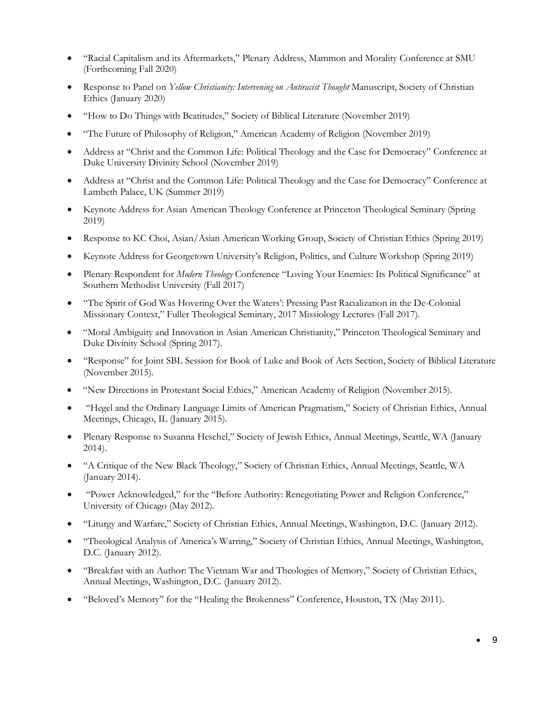- "Racial Capitalism and its Aftermarkets," Plenary Address, Mammon and Morality Conference at SMU (Forthcoming Fall 2020)
- Response to Panel on *Yellow Christianity: Intervening on Antiracist Thought* Manuscript, Society of Christian Ethics (January 2020)
- "How to Do Things with Beatitudes," Society of Biblical Literature (November 2019)
- "The Future of Philosophy of Religion," American Academy of Religion (November 2019)
- Address at "Christ and the Common Life: Political Theology and the Case for Democracy" Conference at Duke University Divinity School (November 2019)
- Address at "Christ and the Common Life: Political Theology and the Case for Democracy" Conference at Lambeth Palace, UK (Summer 2019)
- Keynote Address for Asian American Theology Conference at Princeton Theological Seminary (Spring 2019)
- Response to KC Choi, Asian/Asian American Working Group, Society of Christian Ethics (Spring 2019)
- Keynote Address for Georgetown University's Religion, Politics, and Culture Workshop (Spring 2019)
- Plenary Respondent for *Modern Theology* Conference "Loving Your Enemies: Its Political Significance" at Southern Methodist University (Fall 2017)
- "The Spirit of God Was Hovering Over the Waters': Pressing Past Racialization in the De-Colonial Missionary Context," Fuller Theological Seminary, 2017 Missiology Lectures (Fall 2017).
- "Moral Ambiguity and Innovation in Asian American Christianity," Princeton Theological Seminary and Duke Divinity School (Spring 2017).
- "Response" for Joint SBL Session for Book of Luke and Book of Acts Section, Society of Biblical Literature (November 2015).
- "New Directions in Protestant Social Ethics," American Academy of Religion (November 2015).
- "Hegel and the Ordinary Language Limits of American Pragmatism," Society of Christian Ethics, Annual Meetings, Chicago, IL (January 2015).
- Plenary Response to Susanna Heschel," Society of Jewish Ethics, Annual Meetings, Seattle, WA (January 2014).
- "A Critique of the New Black Theology," Society of Christian Ethics, Annual Meetings, Seattle, WA (January 2014).
- "Power Acknowledged," for the "Before Authority: Renegotiating Power and Religion Conference," University of Chicago (May 2012).
- "Liturgy and Warfare," Society of Christian Ethics, Annual Meetings, Washington, D.C. (January 2012).
- "Theological Analysis of America's Warring," Society of Christian Ethics, Annual Meetings, Washington, D.C. (January 2012).
- "Breakfast with an Author: The Vietnam War and Theologies of Memory," Society of Christian Ethics, Annual Meetings, Washington, D.C. (January 2012).
- "Beloved's Memory" for the "Healing the Brokenness" Conference, Houston, TX (May 2011).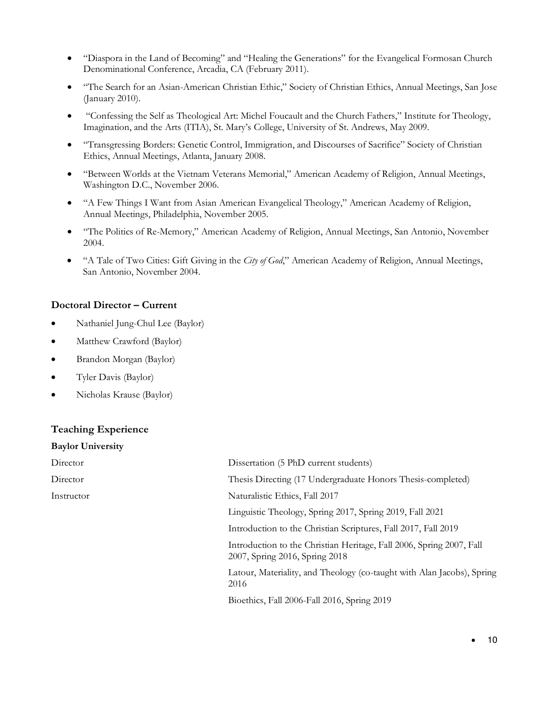- "Diaspora in the Land of Becoming" and "Healing the Generations" for the Evangelical Formosan Church Denominational Conference, Arcadia, CA (February 2011).
- "The Search for an Asian-American Christian Ethic," Society of Christian Ethics, Annual Meetings, San Jose (January 2010).
- "Confessing the Self as Theological Art: Michel Foucault and the Church Fathers," Institute for Theology, Imagination, and the Arts (ITIA), St. Mary's College, University of St. Andrews, May 2009.
- "Transgressing Borders: Genetic Control, Immigration, and Discourses of Sacrifice" Society of Christian Ethics, Annual Meetings, Atlanta, January 2008.
- "Between Worlds at the Vietnam Veterans Memorial," American Academy of Religion, Annual Meetings, Washington D.C., November 2006.
- "A Few Things I Want from Asian American Evangelical Theology," American Academy of Religion, Annual Meetings, Philadelphia, November 2005.
- "The Politics of Re-Memory," American Academy of Religion, Annual Meetings, San Antonio, November 2004.
- "A Tale of Two Cities: Gift Giving in the *City of God*," American Academy of Religion, Annual Meetings, San Antonio, November 2004.

# **Doctoral Director – Current**

- Nathaniel Jung-Chul Lee (Baylor)
- Matthew Crawford (Baylor)
- Brandon Morgan (Baylor)
- Tyler Davis (Baylor)
- Nicholas Krause (Baylor)

# **Teaching Experience**

| <b>Baylor University</b> |                                                                                                        |
|--------------------------|--------------------------------------------------------------------------------------------------------|
| Director                 | Dissertation (5 PhD current students)                                                                  |
| Director                 | Thesis Directing (17 Undergraduate Honors Thesis-completed)                                            |
| Instructor               | Naturalistic Ethics, Fall 2017                                                                         |
|                          | Linguistic Theology, Spring 2017, Spring 2019, Fall 2021                                               |
|                          | Introduction to the Christian Scriptures, Fall 2017, Fall 2019                                         |
|                          | Introduction to the Christian Heritage, Fall 2006, Spring 2007, Fall<br>2007, Spring 2016, Spring 2018 |
|                          | Latour, Materiality, and Theology (co-taught with Alan Jacobs), Spring<br>2016                         |
|                          | Bioethics, Fall 2006-Fall 2016, Spring 2019                                                            |